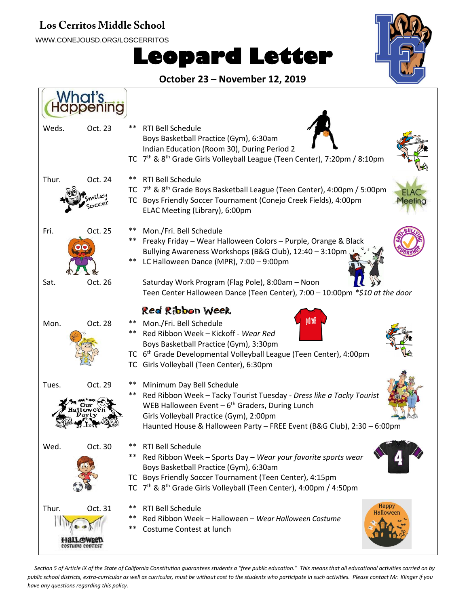#### **Los Cerritos Middle School**

WWW.CONEJOUSD.ORG/LOSCERRITOS

# **Leopard Letter**



**October 23 – November 12, 2019** What's peninc Weds. Oct. 23 \*\* RTI Bell Schedule Boys Basketball Practice (Gym), 6:30am Indian Education (Room 30), During Period 2 TC 7<sup>th</sup> & 8<sup>th</sup> Grade Girls Volleyball League (Teen Center), 7:20pm / 8:10pm Thur. Oct. 24 \*\* RTI Bell Schedule TC 7<sup>th</sup> & 8<sup>th</sup> Grade Boys Basketball League (Teen Center), 4:00pm / 5:00pm TC Boys Friendly Soccer Tournament (Conejo Creek Fields), 4:00pm ELAC Meeting (Library), 6:00pm Fri. Oct. 25 Mon./Fri. Bell Schedule \*\* \*\* Freaky Friday – Wear Halloween Colors – Purple, Orange & Black Bullying Awareness Workshops (B&G Club), 12:40 – 3:10pm LC Halloween Dance (MPR), 7:00 – 9:00pm \*\* Saturday Work Program (Flag Pole), 8:00am – Noon Sat. Oct. 26 Teen Center Halloween Dance (Teen Center), 7:00 – 10:00pm *\*\$10 at the door* Red Ribbon Week Mon. Oct. 28 \*\* Mon./Fri. Bell Schedule Red Ribbon Week – Kickoff - *Wear Red* \*\* Boys Basketball Practice (Gym), 3:30pm TC 6<sup>th</sup> Grade Developmental Volleyball League (Teen Center), 4:00pm TC Girls Volleyball (Teen Center), 6:30pm Tues. Oct. 29 \*\* Minimum Day Bell Schedule Red Ribbon Week – Tacky Tourist Tuesday - *Dress like a Tacky Tourist* \*\* WEB Halloween Event - 6<sup>th</sup> Graders, During Lunch Girls Volleyball Practice (Gym), 2:00pm Haunted House & Halloween Party – FREE Event (B&G Club), 2:30 – 6:00pm Wed. Oct. 30 \*\* RTI Bell Schedule Red Ribbon Week – Sports Day – *Wear your favorite sports wear* \*\* Boys Basketball Practice (Gym), 6:30am TC Boys Friendly Soccer Tournament (Teen Center), 4:15pm TC 7<sup>th</sup> & 8<sup>th</sup> Grade Girls Volleyball (Teen Center), 4:00pm / 4:50pm Hanny Thur. Oct. 31 RTI Bell Schedule \*\* Red Ribbon Week – Halloween – *Wear Halloween Costume* \*\* \*\* Costume Contest at lunch на **COSTUME CONTEST** 

*Section 5 of Article IX of the State of California Constitution guarantees students a "free public education." This means that all educational activities carried on by public school districts, extra-curricular as well as curricular, must be without cost to the students who participate in such activities. Please contact Mr. Klinger if you have any questions regarding this policy.*